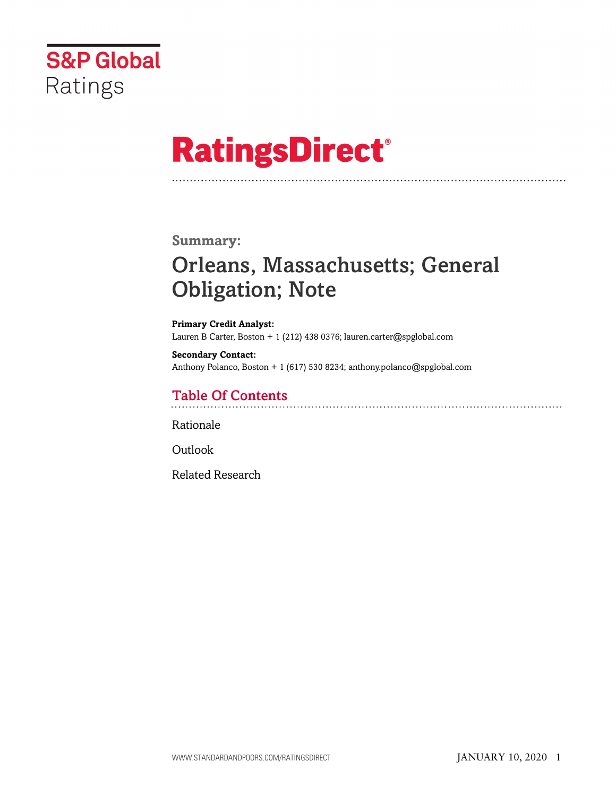

# **RatingsDirect®**

## **Summary:**

# Orleans, Massachusetts; General Obligation; Note

**Primary Credit Analyst:** Lauren B Carter, Boston + 1 (212) 438 0376; lauren.carter@spglobal.com

**Secondary Contact:** Anthony Polanco, Boston + 1 (617) 530 8234; anthony.polanco@spglobal.com

# Table Of Contents

[Rationale](#page-1-0)

[Outlook](#page-5-0)

[Related Research](#page-5-1)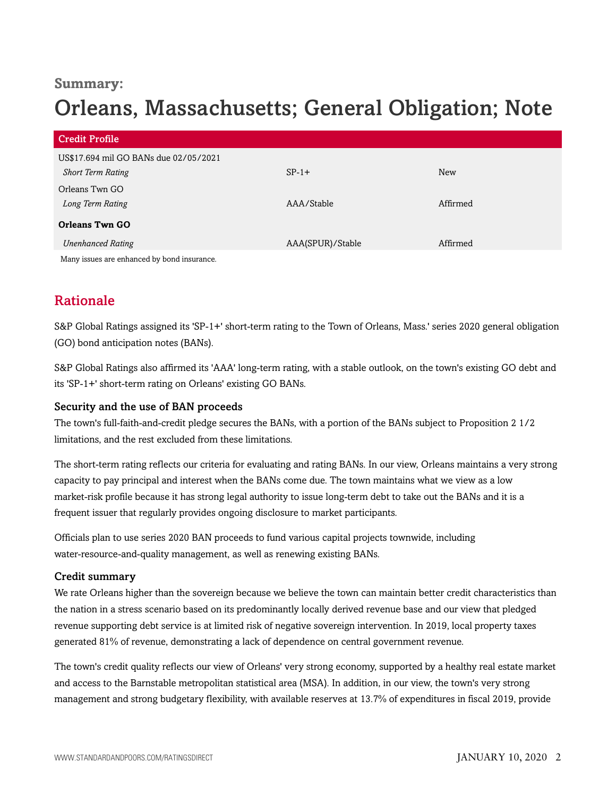## **Summary:**

# Orleans, Massachusetts; General Obligation; Note

| <b>Credit Profile</b>                      |                  |            |
|--------------------------------------------|------------------|------------|
| US\$17.694 mil GO BANs due 02/05/2021      |                  |            |
| <b>Short Term Rating</b>                   | $SP-1+$          | <b>New</b> |
| Orleans Twn GO                             |                  |            |
| Long Term Rating                           | AAA/Stable       | Affirmed   |
| <b>Orleans Twn GO</b>                      |                  |            |
| <b>Unenhanced Rating</b>                   | AAA(SPUR)/Stable | Affirmed   |
| Mony icquoe are opponeed by bond inqurance |                  |            |

<span id="page-1-0"></span>Many issues are enhanced by bond insurance.

# Rationale

S&P Global Ratings assigned its 'SP-1+' short-term rating to the Town of Orleans, Mass.' series 2020 general obligation (GO) bond anticipation notes (BANs).

S&P Global Ratings also affirmed its 'AAA' long-term rating, with a stable outlook, on the town's existing GO debt and its 'SP-1+' short-term rating on Orleans' existing GO BANs.

#### Security and the use of BAN proceeds

The town's full-faith-and-credit pledge secures the BANs, with a portion of the BANs subject to Proposition 2 1/2 limitations, and the rest excluded from these limitations.

The short-term rating reflects our criteria for evaluating and rating BANs. In our view, Orleans maintains a very strong capacity to pay principal and interest when the BANs come due. The town maintains what we view as a low market-risk profile because it has strong legal authority to issue long-term debt to take out the BANs and it is a frequent issuer that regularly provides ongoing disclosure to market participants.

Officials plan to use series 2020 BAN proceeds to fund various capital projects townwide, including water-resource-and-quality management, as well as renewing existing BANs.

#### Credit summary

We rate Orleans higher than the sovereign because we believe the town can maintain better credit characteristics than the nation in a stress scenario based on its predominantly locally derived revenue base and our view that pledged revenue supporting debt service is at limited risk of negative sovereign intervention. In 2019, local property taxes generated 81% of revenue, demonstrating a lack of dependence on central government revenue.

The town's credit quality reflects our view of Orleans' very strong economy, supported by a healthy real estate market and access to the Barnstable metropolitan statistical area (MSA). In addition, in our view, the town's very strong management and strong budgetary flexibility, with available reserves at 13.7% of expenditures in fiscal 2019, provide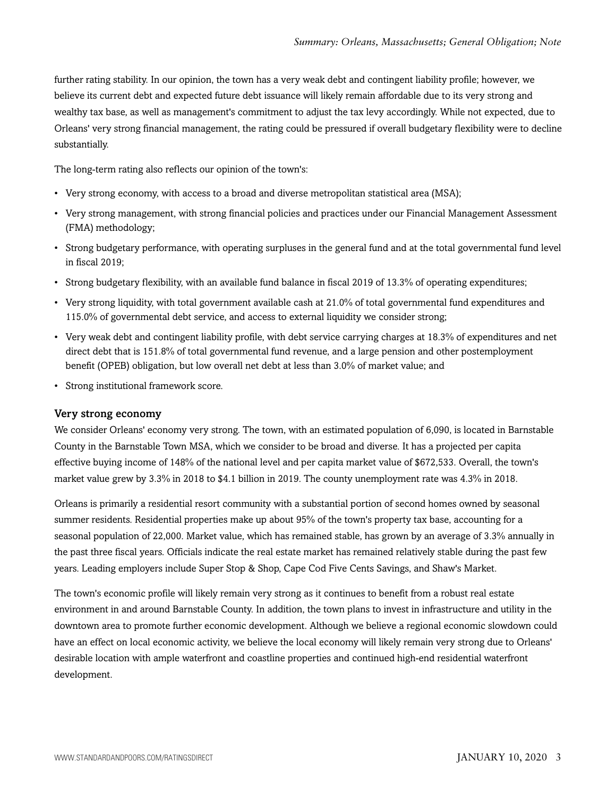further rating stability. In our opinion, the town has a very weak debt and contingent liability profile; however, we believe its current debt and expected future debt issuance will likely remain affordable due to its very strong and wealthy tax base, as well as management's commitment to adjust the tax levy accordingly. While not expected, due to Orleans' very strong financial management, the rating could be pressured if overall budgetary flexibility were to decline substantially.

The long-term rating also reflects our opinion of the town's:

- Very strong economy, with access to a broad and diverse metropolitan statistical area (MSA);
- Very strong management, with strong financial policies and practices under our Financial Management Assessment (FMA) methodology;
- Strong budgetary performance, with operating surpluses in the general fund and at the total governmental fund level in fiscal 2019;
- Strong budgetary flexibility, with an available fund balance in fiscal 2019 of 13.3% of operating expenditures;
- Very strong liquidity, with total government available cash at 21.0% of total governmental fund expenditures and 115.0% of governmental debt service, and access to external liquidity we consider strong;
- Very weak debt and contingent liability profile, with debt service carrying charges at 18.3% of expenditures and net direct debt that is 151.8% of total governmental fund revenue, and a large pension and other postemployment benefit (OPEB) obligation, but low overall net debt at less than 3.0% of market value; and
- Strong institutional framework score.

#### Very strong economy

We consider Orleans' economy very strong. The town, with an estimated population of 6,090, is located in Barnstable County in the Barnstable Town MSA, which we consider to be broad and diverse. It has a projected per capita effective buying income of 148% of the national level and per capita market value of \$672,533. Overall, the town's market value grew by 3.3% in 2018 to \$4.1 billion in 2019. The county unemployment rate was 4.3% in 2018.

Orleans is primarily a residential resort community with a substantial portion of second homes owned by seasonal summer residents. Residential properties make up about 95% of the town's property tax base, accounting for a seasonal population of 22,000. Market value, which has remained stable, has grown by an average of 3.3% annually in the past three fiscal years. Officials indicate the real estate market has remained relatively stable during the past few years. Leading employers include Super Stop & Shop, Cape Cod Five Cents Savings, and Shaw's Market.

The town's economic profile will likely remain very strong as it continues to benefit from a robust real estate environment in and around Barnstable County. In addition, the town plans to invest in infrastructure and utility in the downtown area to promote further economic development. Although we believe a regional economic slowdown could have an effect on local economic activity, we believe the local economy will likely remain very strong due to Orleans' desirable location with ample waterfront and coastline properties and continued high-end residential waterfront development.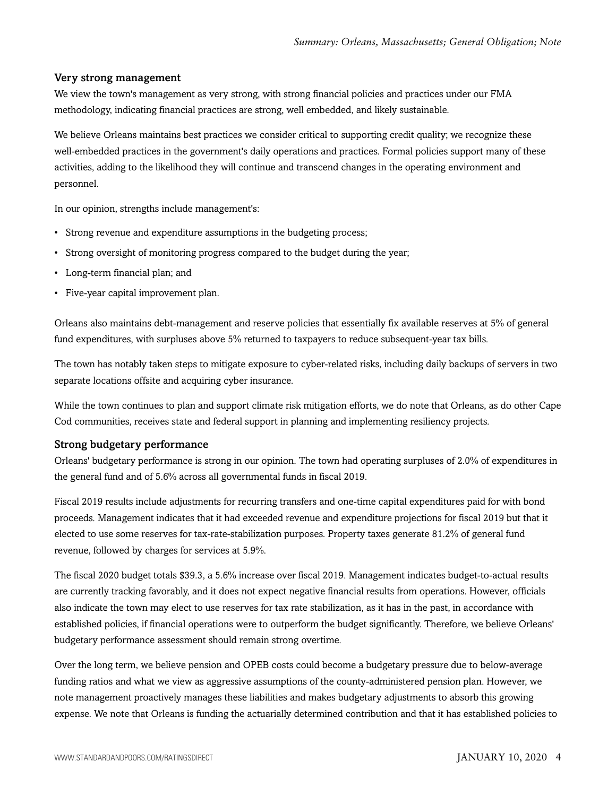#### Very strong management

We view the town's management as very strong, with strong financial policies and practices under our FMA methodology, indicating financial practices are strong, well embedded, and likely sustainable.

We believe Orleans maintains best practices we consider critical to supporting credit quality; we recognize these well-embedded practices in the government's daily operations and practices. Formal policies support many of these activities, adding to the likelihood they will continue and transcend changes in the operating environment and personnel.

In our opinion, strengths include management's:

- Strong revenue and expenditure assumptions in the budgeting process;
- Strong oversight of monitoring progress compared to the budget during the year;
- Long-term financial plan; and
- Five-year capital improvement plan.

Orleans also maintains debt-management and reserve policies that essentially fix available reserves at 5% of general fund expenditures, with surpluses above 5% returned to taxpayers to reduce subsequent-year tax bills.

The town has notably taken steps to mitigate exposure to cyber-related risks, including daily backups of servers in two separate locations offsite and acquiring cyber insurance.

While the town continues to plan and support climate risk mitigation efforts, we do note that Orleans, as do other Cape Cod communities, receives state and federal support in planning and implementing resiliency projects.

#### Strong budgetary performance

Orleans' budgetary performance is strong in our opinion. The town had operating surpluses of 2.0% of expenditures in the general fund and of 5.6% across all governmental funds in fiscal 2019.

Fiscal 2019 results include adjustments for recurring transfers and one-time capital expenditures paid for with bond proceeds. Management indicates that it had exceeded revenue and expenditure projections for fiscal 2019 but that it elected to use some reserves for tax-rate-stabilization purposes. Property taxes generate 81.2% of general fund revenue, followed by charges for services at 5.9%.

The fiscal 2020 budget totals \$39.3, a 5.6% increase over fiscal 2019. Management indicates budget-to-actual results are currently tracking favorably, and it does not expect negative financial results from operations. However, officials also indicate the town may elect to use reserves for tax rate stabilization, as it has in the past, in accordance with established policies, if financial operations were to outperform the budget significantly. Therefore, we believe Orleans' budgetary performance assessment should remain strong overtime.

Over the long term, we believe pension and OPEB costs could become a budgetary pressure due to below-average funding ratios and what we view as aggressive assumptions of the county-administered pension plan. However, we note management proactively manages these liabilities and makes budgetary adjustments to absorb this growing expense. We note that Orleans is funding the actuarially determined contribution and that it has established policies to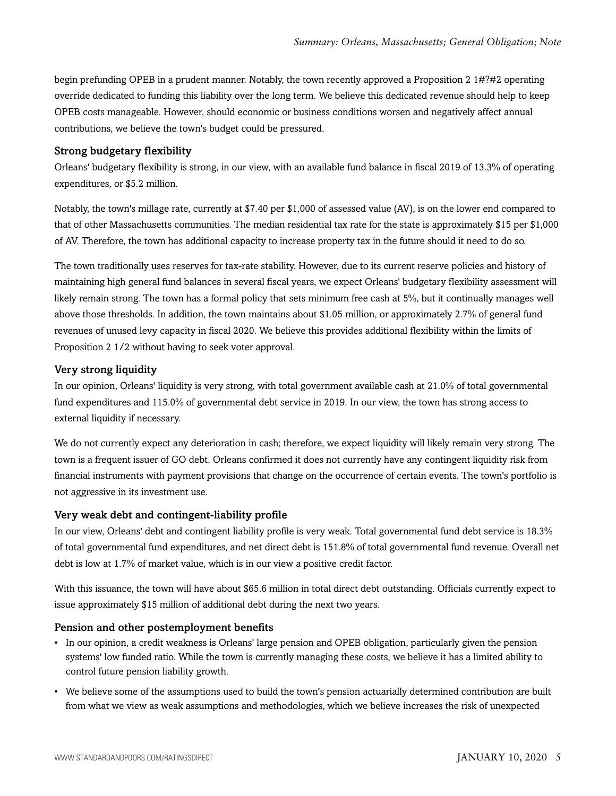begin prefunding OPEB in a prudent manner. Notably, the town recently approved a Proposition 2 1#?#2 operating override dedicated to funding this liability over the long term. We believe this dedicated revenue should help to keep OPEB costs manageable. However, should economic or business conditions worsen and negatively affect annual contributions, we believe the town's budget could be pressured.

#### Strong budgetary flexibility

Orleans' budgetary flexibility is strong, in our view, with an available fund balance in fiscal 2019 of 13.3% of operating expenditures, or \$5.2 million.

Notably, the town's millage rate, currently at \$7.40 per \$1,000 of assessed value (AV), is on the lower end compared to that of other Massachusetts communities. The median residential tax rate for the state is approximately \$15 per \$1,000 of AV. Therefore, the town has additional capacity to increase property tax in the future should it need to do so.

The town traditionally uses reserves for tax-rate stability. However, due to its current reserve policies and history of maintaining high general fund balances in several fiscal years, we expect Orleans' budgetary flexibility assessment will likely remain strong. The town has a formal policy that sets minimum free cash at 5%, but it continually manages well above those thresholds. In addition, the town maintains about \$1.05 million, or approximately 2.7% of general fund revenues of unused levy capacity in fiscal 2020. We believe this provides additional flexibility within the limits of Proposition 2 1/2 without having to seek voter approval.

#### Very strong liquidity

In our opinion, Orleans' liquidity is very strong, with total government available cash at 21.0% of total governmental fund expenditures and 115.0% of governmental debt service in 2019. In our view, the town has strong access to external liquidity if necessary.

We do not currently expect any deterioration in cash; therefore, we expect liquidity will likely remain very strong. The town is a frequent issuer of GO debt. Orleans confirmed it does not currently have any contingent liquidity risk from financial instruments with payment provisions that change on the occurrence of certain events. The town's portfolio is not aggressive in its investment use.

#### Very weak debt and contingent-liability profile

In our view, Orleans' debt and contingent liability profile is very weak. Total governmental fund debt service is 18.3% of total governmental fund expenditures, and net direct debt is 151.8% of total governmental fund revenue. Overall net debt is low at 1.7% of market value, which is in our view a positive credit factor.

With this issuance, the town will have about \$65.6 million in total direct debt outstanding. Officials currently expect to issue approximately \$15 million of additional debt during the next two years.

#### Pension and other postemployment benefits

- In our opinion, a credit weakness is Orleans' large pension and OPEB obligation, particularly given the pension systems' low funded ratio. While the town is currently managing these costs, we believe it has a limited ability to control future pension liability growth.
- We believe some of the assumptions used to build the town's pension actuarially determined contribution are built from what we view as weak assumptions and methodologies, which we believe increases the risk of unexpected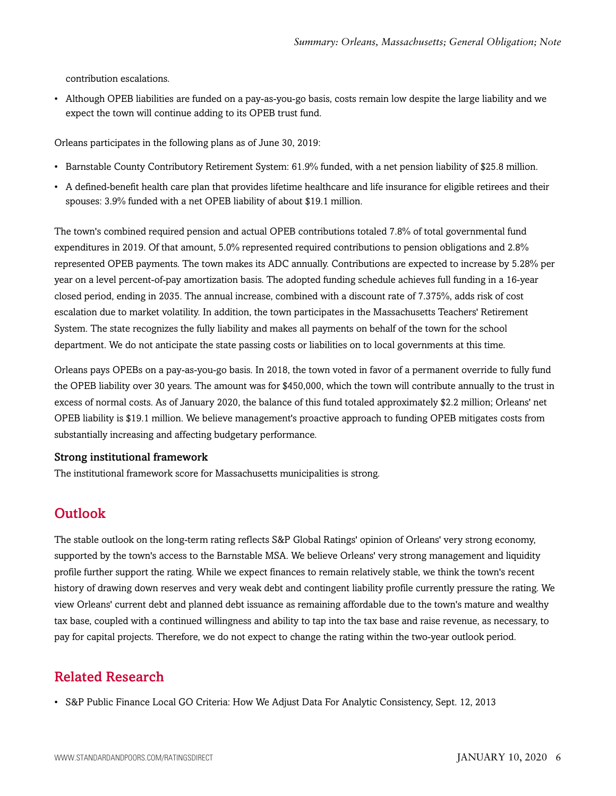contribution escalations.

• Although OPEB liabilities are funded on a pay-as-you-go basis, costs remain low despite the large liability and we expect the town will continue adding to its OPEB trust fund.

Orleans participates in the following plans as of June 30, 2019:

- Barnstable County Contributory Retirement System: 61.9% funded, with a net pension liability of \$25.8 million.
- A defined-benefit health care plan that provides lifetime healthcare and life insurance for eligible retirees and their spouses: 3.9% funded with a net OPEB liability of about \$19.1 million.

The town's combined required pension and actual OPEB contributions totaled 7.8% of total governmental fund expenditures in 2019. Of that amount, 5.0% represented required contributions to pension obligations and 2.8% represented OPEB payments. The town makes its ADC annually. Contributions are expected to increase by 5.28% per year on a level percent-of-pay amortization basis. The adopted funding schedule achieves full funding in a 16-year closed period, ending in 2035. The annual increase, combined with a discount rate of 7.375%, adds risk of cost escalation due to market volatility. In addition, the town participates in the Massachusetts Teachers' Retirement System. The state recognizes the fully liability and makes all payments on behalf of the town for the school department. We do not anticipate the state passing costs or liabilities on to local governments at this time.

Orleans pays OPEBs on a pay-as-you-go basis. In 2018, the town voted in favor of a permanent override to fully fund the OPEB liability over 30 years. The amount was for \$450,000, which the town will contribute annually to the trust in excess of normal costs. As of January 2020, the balance of this fund totaled approximately \$2.2 million; Orleans' net OPEB liability is \$19.1 million. We believe management's proactive approach to funding OPEB mitigates costs from substantially increasing and affecting budgetary performance.

#### Strong institutional framework

<span id="page-5-0"></span>The institutional framework score for Massachusetts municipalities is strong.

# **Outlook**

The stable outlook on the long-term rating reflects S&P Global Ratings' opinion of Orleans' very strong economy, supported by the town's access to the Barnstable MSA. We believe Orleans' very strong management and liquidity profile further support the rating. While we expect finances to remain relatively stable, we think the town's recent history of drawing down reserves and very weak debt and contingent liability profile currently pressure the rating. We view Orleans' current debt and planned debt issuance as remaining affordable due to the town's mature and wealthy tax base, coupled with a continued willingness and ability to tap into the tax base and raise revenue, as necessary, to pay for capital projects. Therefore, we do not expect to change the rating within the two-year outlook period.

## <span id="page-5-1"></span>Related Research

• S&P Public Finance Local GO Criteria: How We Adjust Data For Analytic Consistency, Sept. 12, 2013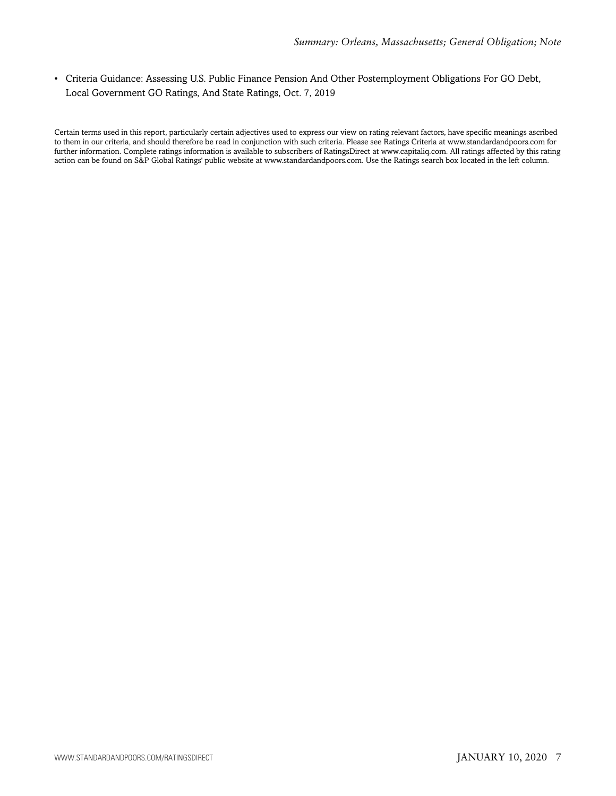• Criteria Guidance: Assessing U.S. Public Finance Pension And Other Postemployment Obligations For GO Debt, Local Government GO Ratings, And State Ratings, Oct. 7, 2019

Certain terms used in this report, particularly certain adjectives used to express our view on rating relevant factors, have specific meanings ascribed to them in our criteria, and should therefore be read in conjunction with such criteria. Please see Ratings Criteria at www.standardandpoors.com for further information. Complete ratings information is available to subscribers of RatingsDirect at www.capitaliq.com. All ratings affected by this rating action can be found on S&P Global Ratings' public website at www.standardandpoors.com. Use the Ratings search box located in the left column.